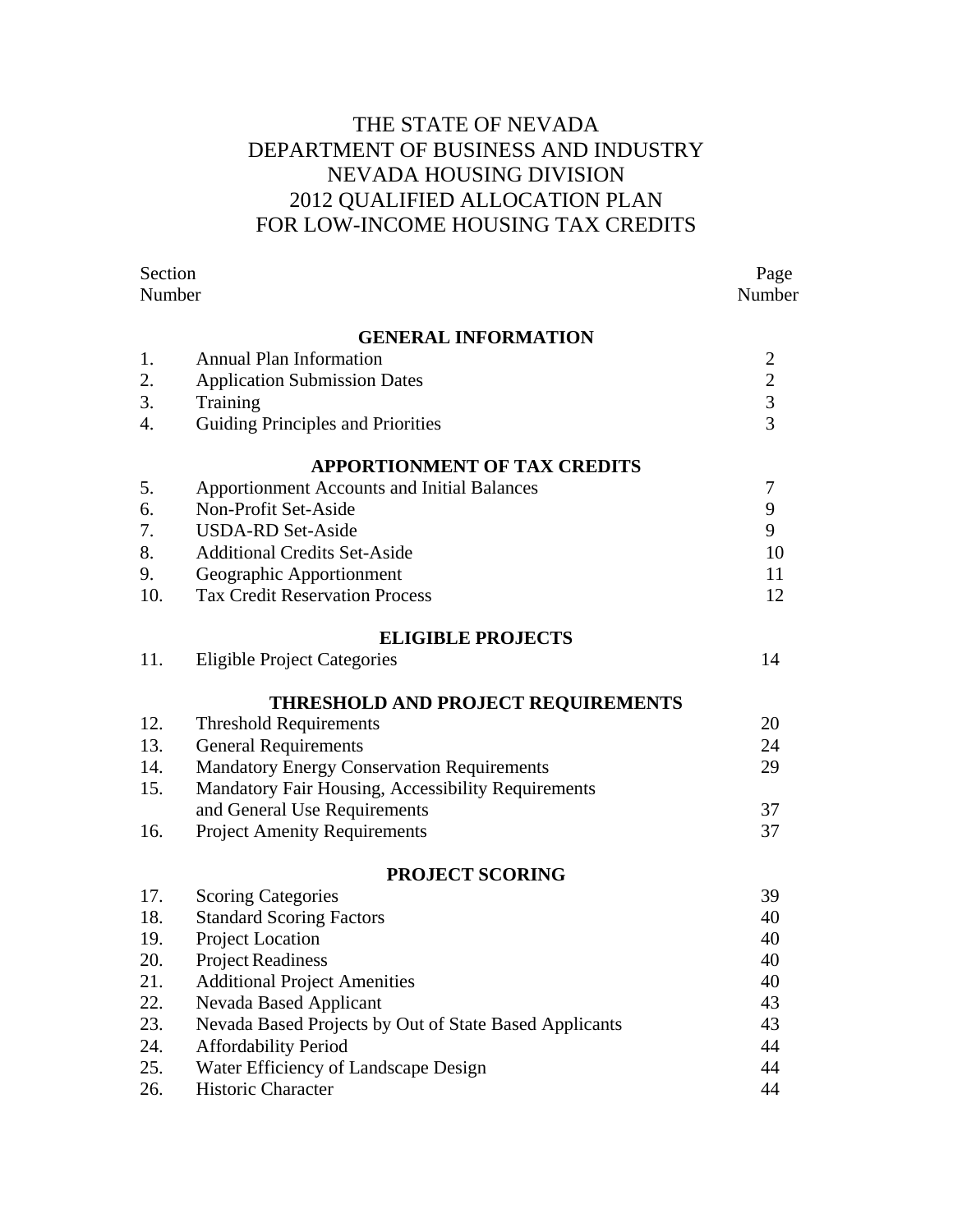# THE STATE OF NEVADA DEPARTMENT OF BUSINESS AND INDUSTRY NEVADA HOUSING DIVISION 2012 QUALIFIED ALLOCATION PLAN FOR LOW-INCOME HOUSING TAX CREDITS

| Section |                                                        | Page           |
|---------|--------------------------------------------------------|----------------|
| Number  |                                                        | Number         |
|         | <b>GENERAL INFORMATION</b>                             |                |
| 1.      | <b>Annual Plan Information</b>                         | $\overline{2}$ |
| 2.      | <b>Application Submission Dates</b>                    | $\overline{2}$ |
| 3.      | Training                                               | $\overline{3}$ |
| 4.      | <b>Guiding Principles and Priorities</b>               | 3              |
|         | <b>APPORTIONMENT OF TAX CREDITS</b>                    |                |
| 5.      | <b>Apportionment Accounts and Initial Balances</b>     | 7              |
| 6.      | Non-Profit Set-Aside                                   | 9              |
| 7.      | <b>USDA-RD Set-Aside</b>                               | 9              |
| 8.      | <b>Additional Credits Set-Aside</b>                    | 10             |
| 9.      | Geographic Apportionment                               | 11             |
| 10.     | <b>Tax Credit Reservation Process</b>                  | 12             |
|         | <b>ELIGIBLE PROJECTS</b>                               |                |
| 11.     | <b>Eligible Project Categories</b>                     | 14             |
|         | THRESHOLD AND PROJECT REQUIREMENTS                     |                |
| 12.     | <b>Threshold Requirements</b>                          | 20             |
| 13.     | <b>General Requirements</b>                            | 24             |
| 14.     | <b>Mandatory Energy Conservation Requirements</b>      | 29             |
| 15.     | Mandatory Fair Housing, Accessibility Requirements     |                |
|         | and General Use Requirements                           | 37             |
| 16.     | <b>Project Amenity Requirements</b>                    | 37             |
|         | PROJECT SCORING                                        |                |
| 17.     | <b>Scoring Categories</b>                              | 39             |
| 18.     | <b>Standard Scoring Factors</b>                        | 40             |
| 19.     | Project Location                                       | 40             |
| 20.     | <b>Project Readiness</b>                               | 40             |
| 21.     | <b>Additional Project Amenities</b>                    | 40             |
| 22.     | <b>Nevada Based Applicant</b>                          | 43             |
| 23.     | Nevada Based Projects by Out of State Based Applicants | 43             |
| 24.     | <b>Affordability Period</b>                            | 44             |
| 25.     | Water Efficiency of Landscape Design                   | 44             |
| 26.     | Historic Character                                     | 44             |